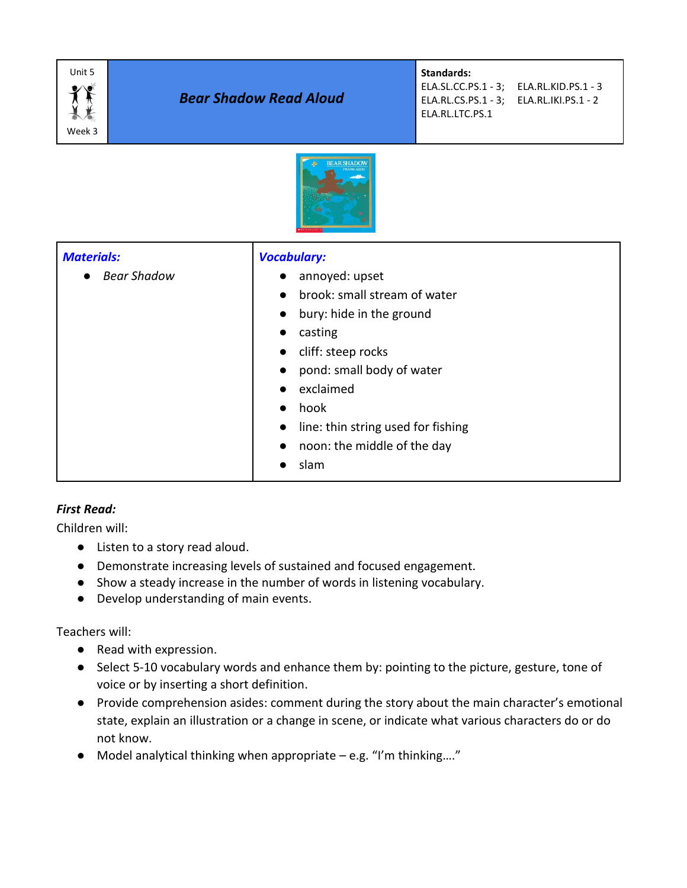

ELA.SL.CC.PS.1 - 3; ELA.RL.KID.PS.1 - 3 ELA.RL.CS.PS.1 - 3; ELA.RL.IKI.PS.1 - 2 ELA.RL.LTC.PS.1



| <b>Materials:</b> | <b>Vocabulary:</b>                        |
|-------------------|-------------------------------------------|
| Bear Shadow       | annoyed: upset<br>$\bullet$               |
|                   | brook: small stream of water<br>$\bullet$ |
|                   | • bury: hide in the ground                |
|                   | casting<br>$\bullet$                      |
|                   | • cliff: steep rocks                      |
|                   | pond: small body of water<br>$\bullet$    |
|                   | exclaimed                                 |
|                   | hook                                      |
|                   | • line: thin string used for fishing      |
|                   | noon: the middle of the day<br>$\bullet$  |
|                   | slam                                      |

# *First Read:*

Children will:

- Listen to a story read aloud.
- Demonstrate increasing levels of sustained and focused engagement.
- Show a steady increase in the number of words in listening vocabulary.
- Develop understanding of main events.

Teachers will:

- Read with expression.
- Select 5-10 vocabulary words and enhance them by: pointing to the picture, gesture, tone of voice or by inserting a short definition.
- Provide comprehension asides: comment during the story about the main character's emotional state, explain an illustration or a change in scene, or indicate what various characters do or do not know.
- Model analytical thinking when appropriate e.g. "I'm thinking...."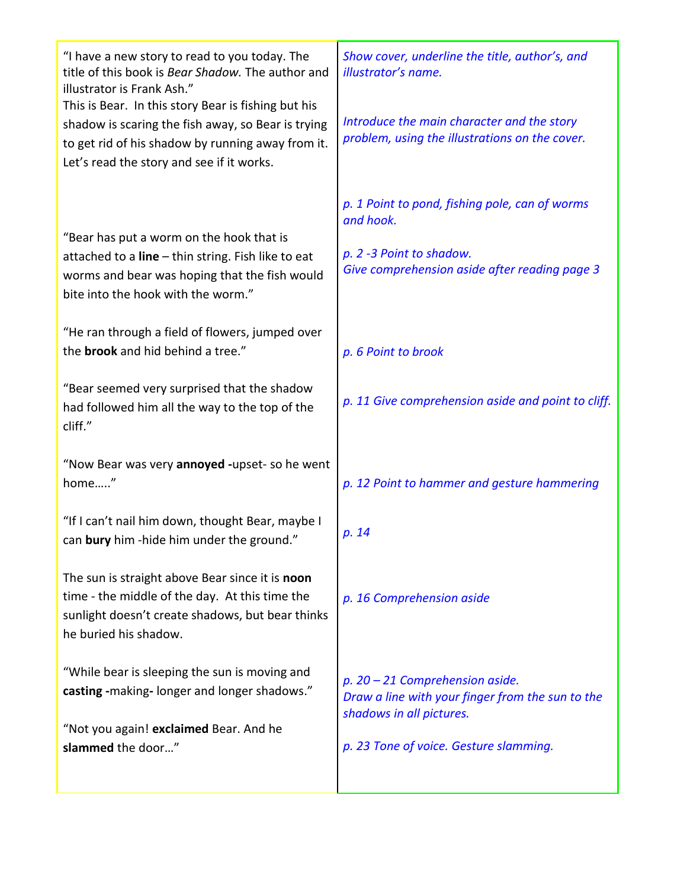| "I have a new story to read to you today. The<br>title of this book is Bear Shadow. The author and<br>illustrator is Frank Ash."<br>This is Bear. In this story Bear is fishing but his<br>shadow is scaring the fish away, so Bear is trying<br>to get rid of his shadow by running away from it.<br>Let's read the story and see if it works. | Show cover, underline the title, author's, and<br>illustrator's name.<br>Introduce the main character and the story<br>problem, using the illustrations on the cover. |
|-------------------------------------------------------------------------------------------------------------------------------------------------------------------------------------------------------------------------------------------------------------------------------------------------------------------------------------------------|-----------------------------------------------------------------------------------------------------------------------------------------------------------------------|
| "Bear has put a worm on the hook that is<br>attached to a line - thin string. Fish like to eat<br>worms and bear was hoping that the fish would<br>bite into the hook with the worm."                                                                                                                                                           | p. 1 Point to pond, fishing pole, can of worms<br>and hook.<br>p. 2 -3 Point to shadow.<br>Give comprehension aside after reading page 3                              |
| "He ran through a field of flowers, jumped over<br>the <b>brook</b> and hid behind a tree."                                                                                                                                                                                                                                                     | p. 6 Point to brook                                                                                                                                                   |
| "Bear seemed very surprised that the shadow<br>had followed him all the way to the top of the<br>cliff."                                                                                                                                                                                                                                        | p. 11 Give comprehension aside and point to cliff.                                                                                                                    |
| "Now Bear was very annoyed -upset- so he went<br>home"                                                                                                                                                                                                                                                                                          | p. 12 Point to hammer and gesture hammering                                                                                                                           |
| "If I can't nail him down, thought Bear, maybe I<br>can bury him -hide him under the ground."                                                                                                                                                                                                                                                   | p. 14                                                                                                                                                                 |
| The sun is straight above Bear since it is noon<br>time - the middle of the day. At this time the<br>sunlight doesn't create shadows, but bear thinks<br>he buried his shadow.                                                                                                                                                                  | p. 16 Comprehension aside                                                                                                                                             |
| "While bear is sleeping the sun is moving and<br>casting -making- longer and longer shadows."                                                                                                                                                                                                                                                   | $p. 20 - 21$ Comprehension aside.<br>Draw a line with your finger from the sun to the                                                                                 |
| "Not you again! exclaimed Bear. And he<br>slammed the door"                                                                                                                                                                                                                                                                                     | shadows in all pictures.<br>p. 23 Tone of voice. Gesture slamming.                                                                                                    |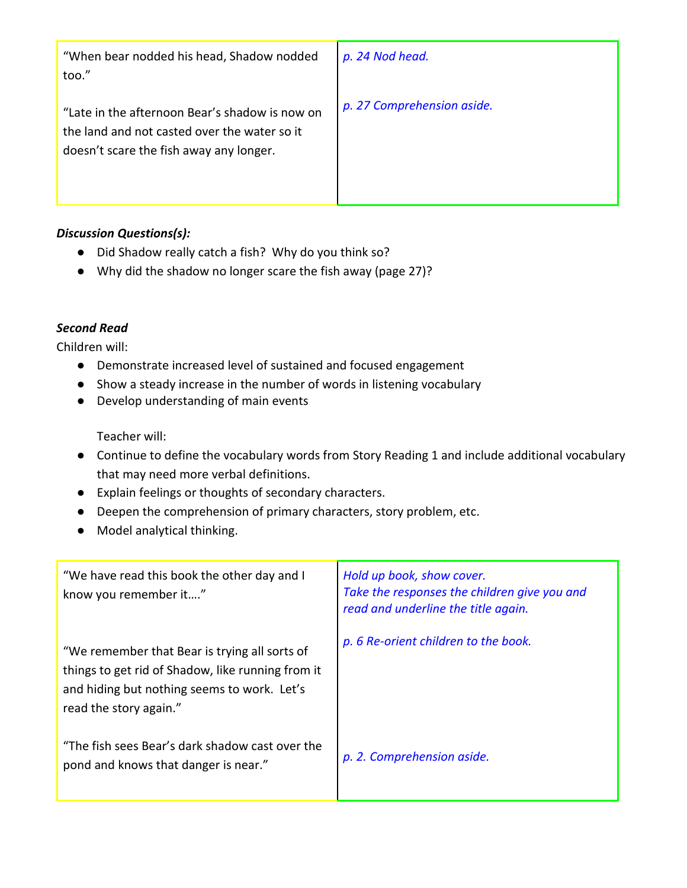| "When bear nodded his head, Shadow nodded<br>too."                                                                                        | p. 24 Nod head.            |
|-------------------------------------------------------------------------------------------------------------------------------------------|----------------------------|
| "Late in the afternoon Bear's shadow is now on<br>the land and not casted over the water so it<br>doesn't scare the fish away any longer. | p. 27 Comprehension aside. |

# *Discussion Questions(s):*

- Did Shadow really catch a fish? Why do you think so?
- Why did the shadow no longer scare the fish away (page 27)?

# *Second Read*

Children will:

- Demonstrate increased level of sustained and focused engagement
- Show a steady increase in the number of words in listening vocabulary
- Develop understanding of main events

Teacher will:

- Continue to define the vocabulary words from Story Reading 1 and include additional vocabulary that may need more verbal definitions.
- Explain feelings or thoughts of secondary characters.
- Deepen the comprehension of primary characters, story problem, etc.
- Model analytical thinking.

| "We have read this book the other day and I<br>know you remember it"                                                                                                        | Hold up book, show cover.<br>Take the responses the children give you and<br>read and underline the title again. |
|-----------------------------------------------------------------------------------------------------------------------------------------------------------------------------|------------------------------------------------------------------------------------------------------------------|
| "We remember that Bear is trying all sorts of<br>things to get rid of Shadow, like running from it<br>and hiding but nothing seems to work. Let's<br>read the story again." | p. 6 Re-orient children to the book.                                                                             |
| "The fish sees Bear's dark shadow cast over the<br>pond and knows that danger is near."                                                                                     | p. 2. Comprehension aside.                                                                                       |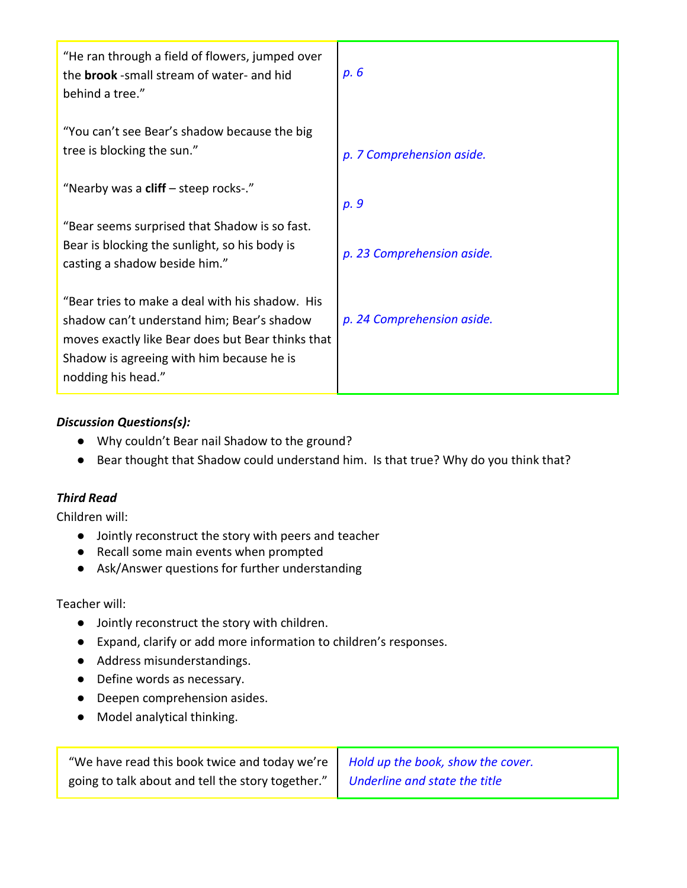| "He ran through a field of flowers, jumped over<br>the <b>brook</b> -small stream of water- and hid<br>behind a tree."                                                                                                | p. 6                       |
|-----------------------------------------------------------------------------------------------------------------------------------------------------------------------------------------------------------------------|----------------------------|
| "You can't see Bear's shadow because the big"<br>tree is blocking the sun."                                                                                                                                           | p. 7 Comprehension aside.  |
| "Nearby was a <b>cliff</b> – steep rocks-."                                                                                                                                                                           | p. 9                       |
| "Bear seems surprised that Shadow is so fast.<br>Bear is blocking the sunlight, so his body is<br>casting a shadow beside him."                                                                                       | p. 23 Comprehension aside. |
| "Bear tries to make a deal with his shadow. His<br>shadow can't understand him; Bear's shadow<br>moves exactly like Bear does but Bear thinks that<br>Shadow is agreeing with him because he is<br>nodding his head." | p. 24 Comprehension aside. |

#### *Discussion Questions(s):*

- Why couldn't Bear nail Shadow to the ground?
- Bear thought that Shadow could understand him. Is that true? Why do you think that?

# *Third Read*

Children will:

- Jointly reconstruct the story with peers and teacher
- Recall some main events when prompted
- Ask/Answer questions for further understanding

#### Teacher will:

- Jointly reconstruct the story with children.
- Expand, clarify or add more information to children's responses.
- Address misunderstandings.
- Define words as necessary.
- Deepen comprehension asides.
- Model analytical thinking.

| "We have read this book twice and today we're   Hold up the book, show the cover. |  |
|-----------------------------------------------------------------------------------|--|
| going to talk about and tell the story together."   Underline and state the title |  |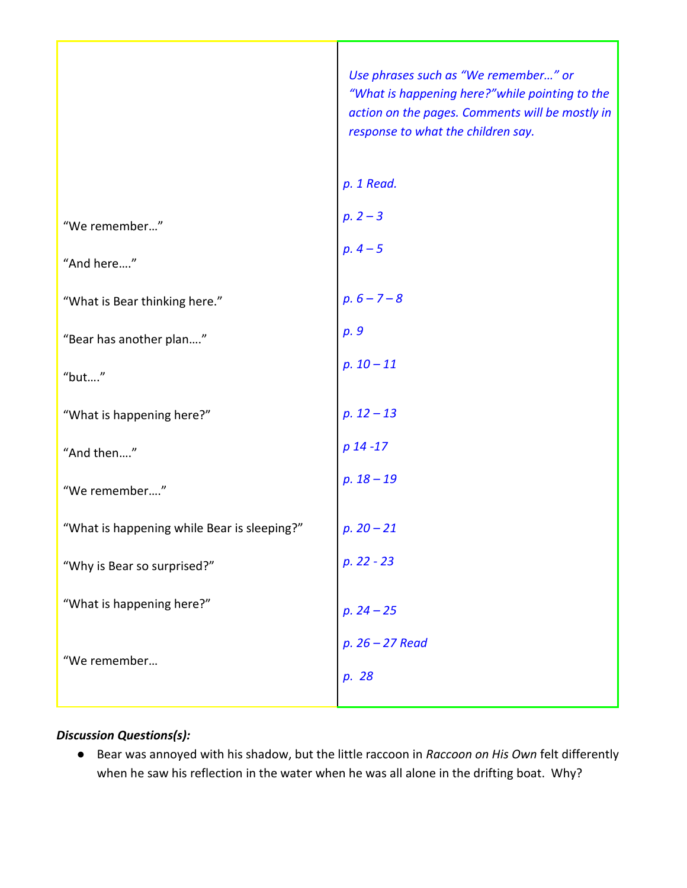|                                             | Use phrases such as "We remember" or<br>"What is happening here?" while pointing to the<br>action on the pages. Comments will be mostly in<br>response to what the children say. |
|---------------------------------------------|----------------------------------------------------------------------------------------------------------------------------------------------------------------------------------|
|                                             | p. 1 Read.                                                                                                                                                                       |
| "We remember"                               | $p. 2 - 3$                                                                                                                                                                       |
| "And here"                                  | $p.4 - 5$                                                                                                                                                                        |
| "What is Bear thinking here."               | $p. 6 - 7 - 8$                                                                                                                                                                   |
| "Bear has another plan"                     | p. 9                                                                                                                                                                             |
| "but"                                       | $p. 10 - 11$                                                                                                                                                                     |
| "What is happening here?"                   | $p. 12 - 13$                                                                                                                                                                     |
| "And then"                                  | $p$ 14 -17                                                                                                                                                                       |
| "We remember"                               | $p. 18 - 19$                                                                                                                                                                     |
| "What is happening while Bear is sleeping?" | $p. 20 - 21$                                                                                                                                                                     |
| "Why is Bear so surprised?"                 | $p. 22 - 23$                                                                                                                                                                     |
| "What is happening here?"                   | $p. 24 - 25$                                                                                                                                                                     |
| "We remember                                | p. 26 - 27 Read<br>p. 28                                                                                                                                                         |

### *Discussion Questions(s):*

● Bear was annoyed with his shadow, but the little raccoon in *Raccoon on His Own* felt differently when he saw his reflection in the water when he was all alone in the drifting boat. Why?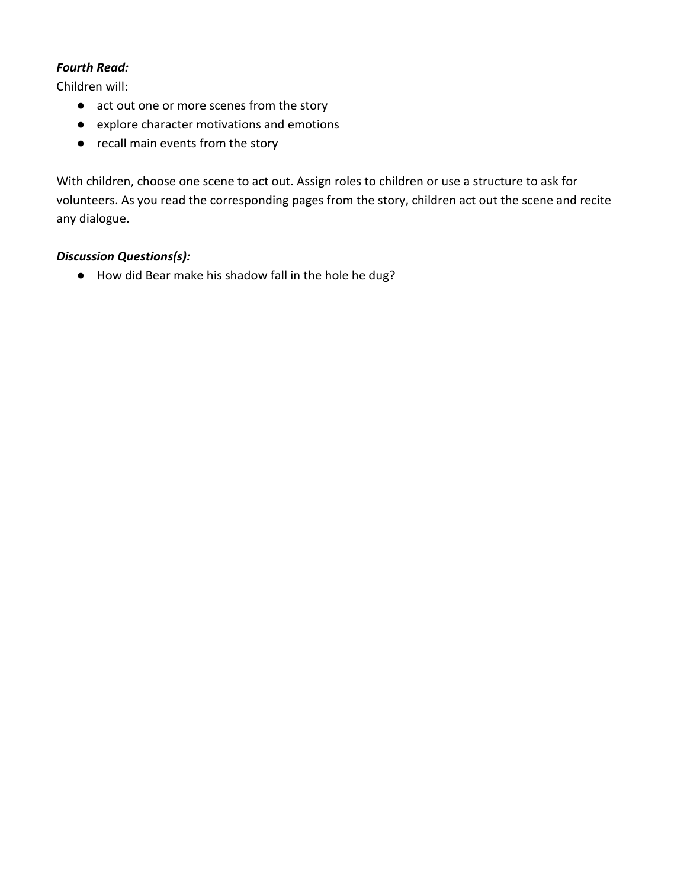### *Fourth Read:*

Children will:

- act out one or more scenes from the story
- explore character motivations and emotions
- recall main events from the story

With children, choose one scene to act out. Assign roles to children or use a structure to ask for volunteers. As you read the corresponding pages from the story, children act out the scene and recite any dialogue.

### *Discussion Questions(s):*

● How did Bear make his shadow fall in the hole he dug?